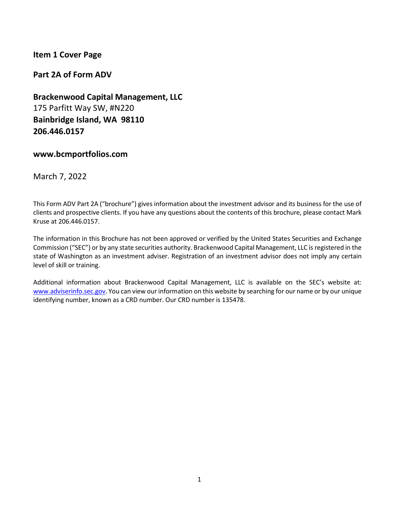## <span id="page-0-0"></span>**Item 1 Cover Page**

**Part 2A of Form ADV**

**Brackenwood Capital Management, LLC** 175 Parfitt Way SW, #N220 **Bainbridge Island, WA 98110 206.446.0157** 

### **www.bcmportfolios.com**

March 7, 2022

This Form ADV Part 2A ("brochure") gives information about the investment advisor and its business for the use of clients and prospective clients. If you have any questions about the contents of this brochure, please contact Mark Kruse at 206.446.0157.

The information in this Brochure has not been approved or verified by the United States Securities and Exchange Commission ("SEC") or by any state securities authority. Brackenwood Capital Management, LLC is registered in the state of Washington as an investment adviser. Registration of an investment advisor does not imply any certain level of skill or training.

Additional information about Brackenwood Capital Management, LLC is available on the SEC's website at: [www.adviserinfo.sec.gov.](http://www.adviserinfo.sec.gov/) You can view our information on this website by searching for our name or by our unique identifying number, known as a CRD number. Our CRD number is 135478.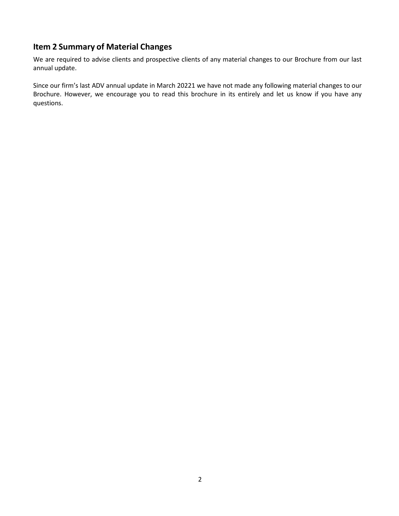# <span id="page-1-0"></span>**Item 2 Summary of Material Changes**

We are required to advise clients and prospective clients of any material changes to our Brochure from our last annual update.

Since our firm's last ADV annual update in March 20221 we have not made any following material changes to our Brochure. However, we encourage you to read this brochure in its entirely and let us know if you have any questions.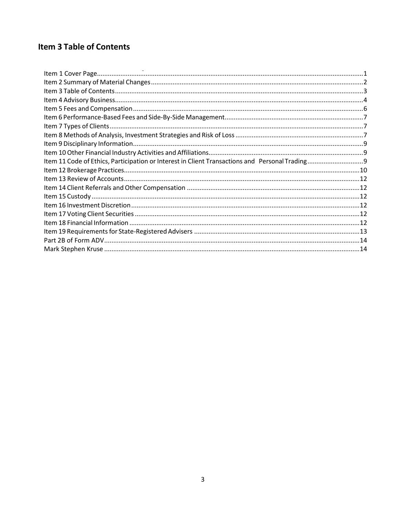# <span id="page-2-0"></span>**Item 3 Table of Contents**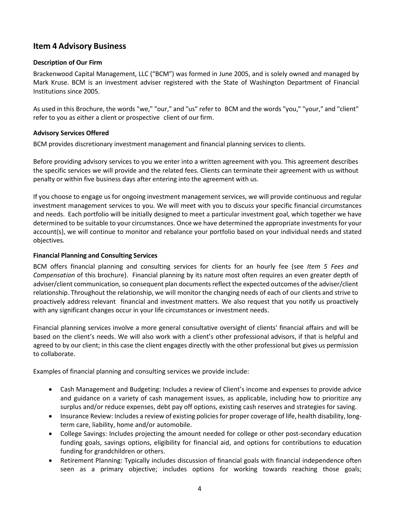# <span id="page-3-0"></span>**Item 4 Advisory Business**

### **Description of Our Firm**

Brackenwood Capital Management, LLC ("BCM") was formed in June 2005, and is solely owned and managed by Mark Kruse. BCM is an investment adviser registered with the State of Washington Department of Financial Institutions since 2005.

As used in this Brochure, the words "we," "our," and "us" refer to BCM and the words "you," "your," and "client" refer to you as either a client or prospective client of our firm.

### **Advisory Services Offered**

BCM provides discretionary investment management and financial planning services to clients.

Before providing advisory services to you we enter into a written agreement with you. This agreement describes the specific services we will provide and the related fees. Clients can terminate their agreement with us without penalty or within five business days after entering into the agreement with us.

If you choose to engage us for ongoing investment management services, we will provide continuous and regular investment management services to you. We will meet with you to discuss your specific financial circumstances and needs. Each portfolio will be initially designed to meet a particular investment goal, which together we have determined to be suitable to your circumstances. Once we have determined the appropriate investments for your account(s), we will continue to monitor and rebalance your portfolio based on your individual needs and stated objectives.

### **Financial Planning and Consulting Services**

BCM offers financial planning and consulting services for clients for an hourly fee (see *Item 5 Fees and Compensation* of this brochure). Financial planning by its nature most often requires an even greater depth of adviser/client communication, so consequent plan documents reflect the expected outcomes of the adviser/client relationship. Throughout the relationship, we will monitor the changing needs of each of our clients and strive to proactively address relevant financial and investment matters. We also request that you notify us proactively with any significant changes occur in your life circumstances or investment needs.

Financial planning services involve a more general consultative oversight of clients' financial affairs and will be based on the client's needs. We will also work with a client's other professional advisors, if that is helpful and agreed to by our client; in this case the client engages directly with the other professional but gives us permission to collaborate.

Examples of financial planning and consulting services we provide include:

- Cash Management and Budgeting: Includes a review of Client's income and expenses to provide advice and guidance on a variety of cash management issues, as applicable, including how to prioritize any surplus and/or reduce expenses, debt pay off options, existing cash reserves and strategies for saving.
- Insurance Review: Includes a review of existing policies for proper coverage of life, health disability, longterm care, liability, home and/or automobile.
- College Savings: Includes projecting the amount needed for college or other post-secondary education funding goals, savings options, eligibility for financial aid, and options for contributions to education funding for grandchildren or others.
- Retirement Planning: Typically includes discussion of financial goals with financial independence often seen as a primary objective; includes options for working towards reaching those goals;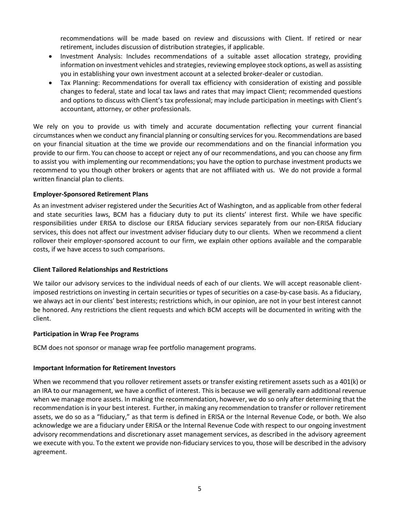recommendations will be made based on review and discussions with Client. If retired or near retirement, includes discussion of distribution strategies, if applicable.

- Investment Analysis: Includes recommendations of a suitable asset allocation strategy, providing information on investment vehicles and strategies, reviewing employee stock options, as well as assisting you in establishing your own investment account at a selected broker-dealer or custodian.
- Tax Planning: Recommendations for overall tax efficiency with consideration of existing and possible changes to federal, state and local tax laws and rates that may impact Client; recommended questions and options to discuss with Client's tax professional; may include participation in meetings with Client's accountant, attorney, or other professionals.

We rely on you to provide us with timely and accurate documentation reflecting your current financial circumstances when we conduct any financial planning or consulting services for you. Recommendations are based on your financial situation at the time we provide our recommendations and on the financial information you provide to our firm. You can choose to accept or reject any of our recommendations, and you can choose any firm to assist you with implementing our recommendations; you have the option to purchase investment products we recommend to you though other brokers or agents that are not affiliated with us. We do not provide a formal written financial plan to clients.

### **Employer-Sponsored Retirement Plans**

As an investment adviser registered under the Securities Act of Washington, and as applicable from other federal and state securities laws, BCM has a fiduciary duty to put its clients' interest first. While we have specific responsibilities under ERISA to disclose our ERISA fiduciary services separately from our non-ERISA fiduciary services, this does not affect our investment adviser fiduciary duty to our clients. When we recommend a client rollover their employer-sponsored account to our firm, we explain other options available and the comparable costs, if we have access to such comparisons.

### **Client Tailored Relationships and Restrictions**

We tailor our advisory services to the individual needs of each of our clients. We will accept reasonable clientimposed restrictions on investing in certain securities or types of securities on a case-by-case basis. As a fiduciary, we always act in our clients' best interests; restrictions which, in our opinion, are not in your best interest cannot be honored. Any restrictions the client requests and which BCM accepts will be documented in writing with the client.

### **Participation in Wrap Fee Programs**

BCM does not sponsor or manage wrap fee portfolio management programs.

### **Important Information for Retirement Investors**

When we recommend that you rollover retirement assets or transfer existing retirement assets such as a 401(k) or an IRA to our management, we have a conflict of interest. This is because we will generally earn additional revenue when we manage more assets. In making the recommendation, however, we do so only after determining that the recommendation is in your best interest. Further, in making any recommendation to transfer or rollover retirement assets, we do so as a "fiduciary," as that term is defined in ERISA or the Internal Revenue Code, or both. We also acknowledge we are a fiduciary under ERISA or the Internal Revenue Code with respect to our ongoing investment advisory recommendations and discretionary asset management services, as described in the advisory agreement we execute with you. To the extent we provide non-fiduciary services to you, those will be described in the advisory agreement.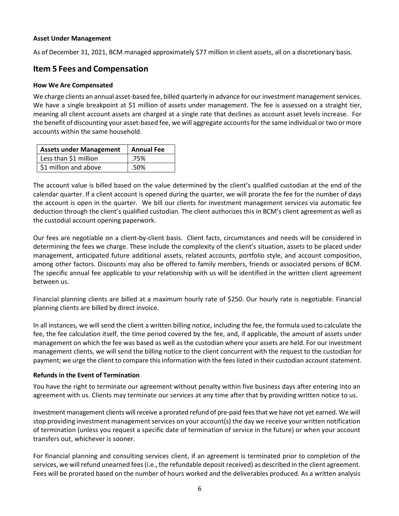#### **Asset Under Management**

As of December 31, 2021, BCM managed approximately \$77 million in client assets, all on a discretionary basis.

# <span id="page-5-0"></span>**Item 5 Fees and Compensation**

### **How We Are Compensated**

We charge clients an annual asset-based fee, billed quarterly in advance for our investment management services. We have a single breakpoint at \$1 million of assets under management. The fee is assessed on a straight tier, meaning all client account assets are charged at a single rate that declines as account asset levels increase. For the benefit of discounting your asset-based fee, we will aggregate accounts for the same individual or two or more accounts within the same household.

| <b>Assets under Management</b> | <b>Annual Fee</b> |
|--------------------------------|-------------------|
| Less than \$1 million          | .75%              |
| \$1 million and above          | .50%              |

The account value is billed based on the value determined by the client's qualified custodian at the end of the calendar quarter. If a client account is opened during the quarter, we will prorate the fee for the number of days the account is open in the quarter. We bill our clients for investment management services via automatic fee deduction through the client's qualified custodian. The client authorizes this in BCM's client agreement as well as the custodial account opening paperwork.

Our fees are negotiable on a client-by-client basis. Client facts, circumstances and needs will be considered in determining the fees we charge. These include the complexity of the client's situation, assets to be placed under management, anticipated future additional assets, related accounts, portfolio style, and account composition, among other factors. Discounts may also be offered to family members, friends or associated persons of BCM. The specific annual fee applicable to your relationship with us will be identified in the written client agreement between us.

Financial planning clients are billed at a maximum hourly rate of \$250. Our hourly rate is negotiable. Financial planning clients are billed by direct invoice.

In all instances, we will send the client a written billing notice, including the fee, the formula used to calculate the fee, the fee calculation itself, the time period covered by the fee, and, if applicable, the amount of assets under management on which the fee was based as well as the custodian where your assets are held. For our investment management clients, we will send the billing notice to the client concurrent with the request to the custodian for payment; we urge the client to compare this information with the fees listed in their custodian account statement.

### **Refunds in the Event of Termination**

You have the right to terminate our agreement without penalty within five business days after entering into an agreement with us. Clients may terminate our services at any time after that by providing written notice to us.

Investment management clients will receive a prorated refund of pre-paid fees that we have not yet earned. We will stop providing investment management services on your account(s) the day we receive your written notification of termination (unless you request a specific date of termination of service in the future) or when your account transfers out, whichever is sooner.

For financial planning and consulting services client, if an agreement is terminated prior to completion of the services, we will refund unearned fees (i.e., the refundable deposit received) as described in the client agreement. Fees will be prorated based on the number of hours worked and the deliverables produced. As a written analysis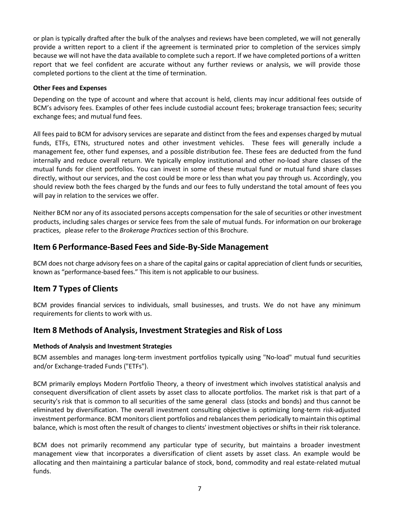or plan is typically drafted after the bulk of the analyses and reviews have been completed, we will not generally provide a written report to a client if the agreement is terminated prior to completion of the services simply because we will not have the data available to complete such a report. If we have completed portions of a written report that we feel confident are accurate without any further reviews or analysis, we will provide those completed portions to the client at the time of termination.

### **Other Fees and Expenses**

Depending on the type of account and where that account is held, clients may incur additional fees outside of BCM's advisory fees. Examples of other fees include custodial account fees; brokerage transaction fees; security exchange fees; and mutual fund fees.

All fees paid to BCM for advisory services are separate and distinct from the fees and expenses charged by mutual funds, ETFs, ETNs, structured notes and other investment vehicles. These fees will generally include a management fee, other fund expenses, and a possible distribution fee. These fees are deducted from the fund internally and reduce overall return. We typically employ institutional and other no-load share classes of the mutual funds for client portfolios. You can invest in some of these mutual fund or mutual fund share classes directly, without our services, and the cost could be more or less than what you pay through us. Accordingly, you should review both the fees charged by the funds and our fees to fully understand the total amount of fees you will pay in relation to the services we offer.

Neither BCM nor any of its associated persons accepts compensation for the sale of securities or other investment products, including sales charges or service fees from the sale of mutual funds. For information on our brokerage practices, please refer to the *Brokerage Practices* section of this Brochure.

## <span id="page-6-0"></span>**Item 6 Performance-Based Fees and Side-By-Side Management**

BCM does not charge advisory fees on a share of the capital gains or capital appreciation of client funds or securities, known as "performance-based fees." This item is not applicable to our business.

## <span id="page-6-1"></span>**Item 7 Types of Clients**

BCM provides financial services to individuals, small businesses, and trusts. We do not have any minimum requirements for clients to work with us.

## <span id="page-6-2"></span>**Item 8 Methods of Analysis, Investment Strategies and Risk of Loss**

### **Methods of Analysis and Investment Strategies**

BCM assembles and manages long-term investment portfolios typically using "No-load" mutual fund securities and/or Exchange-traded Funds ("ETFs").

BCM primarily employs Modern Portfolio Theory, a theory of investment which involves statistical analysis and consequent diversification of client assets by asset class to allocate portfolios. The market risk is that part of a security's risk that is common to all securities of the same general class (stocks and bonds) and thus cannot be eliminated by diversification. The overall investment consulting objective is optimizing long-term risk-adjusted investment performance. BCM monitors client portfolios and rebalances them periodically to maintain this optimal balance, which is most often the result of changes to clients' investment objectives or shifts in their risk tolerance.

BCM does not primarily recommend any particular type of security, but maintains a broader investment management view that incorporates a diversification of client assets by asset class. An example would be allocating and then maintaining a particular balance of stock, bond, commodity and real estate-related mutual funds.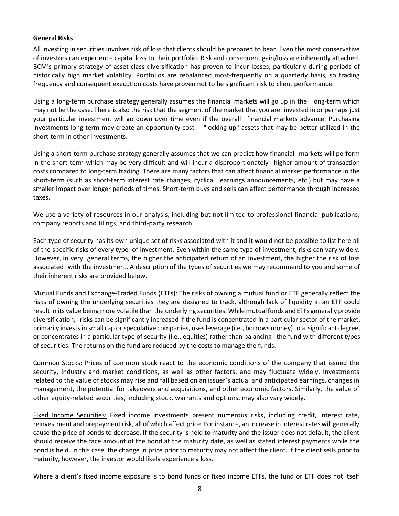### **General Risks**

All investing in securities involves risk of loss that clients should be prepared to bear. Even the most conservative of investors can experience capital loss to their portfolio. Risk and consequent gain/loss are inherently attached. BCM's primary strategy of asset-class diversification has proven to incur losses, particularly during periods of historically high market volatility. Portfolios are rebalanced most-frequently on a quarterly basis, so trading frequency and consequent execution costs have proven not to be significant risk to client performance.

Using a long-term purchase strategy generally assumes the financial markets will go up in the long-term which may not be the case. There is also the risk that the segment of the market that you are invested in or perhaps just your particular investment will go down over time even if the overall financial markets advance. Purchasing investments long-term may create an opportunity cost - "locking-up" assets that may be better utilized in the short-term in other investments.

Using a short-term purchase strategy generally assumes that we can predict how financial markets will perform in the short-term which may be very difficult and will incur a disproportionately higher amount of transaction costs compared to long-term trading. There are many factors that can affect financial market performance in the short-term (such as short-term interest rate changes, cyclical earnings announcements, etc.) but may have a smaller impact over longer periods of times. Short-term buys and sells can affect performance through increased taxes.

We use a variety of resources in our analysis, including but not limited to professional financial publications, company reports and filings, and third-party research.

Each type of security has its own unique set of risks associated with it and it would not be possible to list here all of the specific risks of every type of investment. Even within the same type of investment, risks can vary widely. However, in very general terms, the higher the anticipated return of an investment, the higher the risk of loss associated with the investment. A description of the types of securities we may recommend to you and some of their inherent risks are provided below.

Mutual Funds and Exchange-Traded Funds (ETFs): The risks of owning a mutual fund or ETF generally reflect the risks of owning the underlying securities they are designed to track, although lack of liquidity in an ETF could result in its value being more volatile than the underlying securities. While mutual funds and ETFs generally provide diversification, risks can be significantly increased if the fund is concentrated in a particular sector of the market, primarily invests in small cap or speculative companies, uses leverage (i.e., borrows money) to a significant degree, or concentrates in a particular type of security (i.e., equities) rather than balancing the fund with different types of securities. The returns on the fund are reduced by the costs to manage the funds.

Common Stocks: Prices of common stock react to the economic conditions of the company that issued the security, industry and market conditions, as well as other factors, and may fluctuate widely. Investments related to the value of stocks may rise and fall based on an issuer's actual and anticipated earnings, changes in management, the potential for takeovers and acquisitions, and other economic factors. Similarly, the value of other equity-related securities, including stock, warrants and options, may also vary widely.

Fixed Income Securities: Fixed income investments present numerous risks, including credit, interest rate, reinvestment and prepayment risk, all of which affect price. For instance, an increase in interest rates will generally cause the price of bonds to decrease. If the security is held to maturity and the issuer does not default, the client should receive the face amount of the bond at the maturity date, as well as stated interest payments while the bond is held. In this case, the change in price prior to maturity may not affect the client. If the client sells prior to maturity, however, the investor would likely experience a loss.

Where a client's fixed income exposure is to bond funds or fixed income ETFs, the fund or ETF does not itself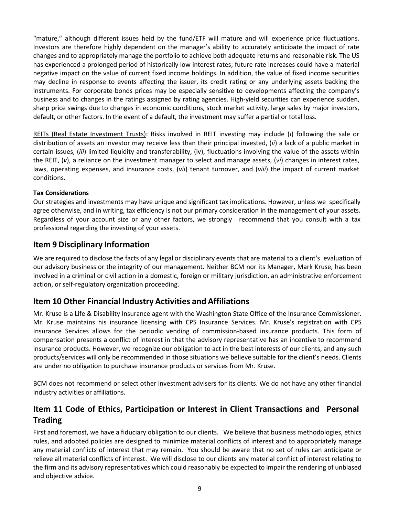"mature," although different issues held by the fund/ETF will mature and will experience price fluctuations. Investors are therefore highly dependent on the manager's ability to accurately anticipate the impact of rate changes and to appropriately manage the portfolio to achieve both adequate returns and reasonable risk. The US has experienced a prolonged period of historically low interest rates; future rate increases could have a material negative impact on the value of current fixed income holdings. In addition, the value of fixed income securities may decline in response to events affecting the issuer, its credit rating or any underlying assets backing the instruments. For corporate bonds prices may be especially sensitive to developments affecting the company's business and to changes in the ratings assigned by rating agencies. High-yield securities can experience sudden, sharp price swings due to changes in economic conditions, stock market activity, large sales by major investors, default, or other factors. In the event of a default, the investment may suffer a partial or total loss.

REITs (Real Estate Investment Trusts): Risks involved in REIT investing may include (*i*) following the sale or distribution of assets an investor may receive less than their principal invested, (*ii*) a lack of a public market in certain issues, (*iii*) limited liquidity and transferability, (iv), fluctuations involving the value of the assets within the REIT, (*v*), a reliance on the investment manager to select and manage assets, (*vi*) changes in interest rates, laws, operating expenses, and insurance costs, (*vii*) tenant turnover, and (*viii*) the impact of current market conditions.

### **Tax Considerations**

Our strategies and investments may have unique and significant tax implications. However, unless we specifically agree otherwise, and in writing, tax efficiency is not our primary consideration in the management of your assets. Regardless of your account size or any other factors, we strongly recommend that you consult with a tax professional regarding the investing of your assets.

### <span id="page-8-0"></span>**Item 9 Disciplinary Information**

We are required to disclose the facts of any legal or disciplinary events that are material to a client's evaluation of our advisory business or the integrity of our management. Neither BCM nor its Manager, Mark Kruse, has been involved in a criminal or civil action in a domestic, foreign or military jurisdiction, an administrative enforcement action, or self-regulatory organization proceeding.

## <span id="page-8-1"></span>**Item 10 Other Financial Industry Activities and Affiliations**

Mr. Kruse is a Life & Disability Insurance agent with the Washington State Office of the Insurance Commissioner. Mr. Kruse maintains his insurance licensing with CPS Insurance Services. Mr. Kruse's registration with CPS Insurance Services allows for the periodic vending of commission-based insurance products. This form of compensation presents a conflict of interest in that the advisory representative has an incentive to recommend insurance products. However, we recognize our obligation to act in the best interests of our clients, and any such products/services will only be recommended in those situations we believe suitable for the client's needs. Clients are under no obligation to purchase insurance products or services from Mr. Kruse.

BCM does not recommend or select other investment advisers for its clients. We do not have any other financial industry activities or affiliations.

# <span id="page-8-2"></span>**Item 11 Code of Ethics, Participation or Interest in Client Transactions and Personal Trading**

First and foremost, we have a fiduciary obligation to our clients. We believe that business methodologies, ethics rules, and adopted policies are designed to minimize material conflicts of interest and to appropriately manage any material conflicts of interest that may remain. You should be aware that no set of rules can anticipate or relieve all material conflicts of interest. We will disclose to our clients any material conflict of interest relating to the firm and its advisory representatives which could reasonably be expected to impair the rendering of unbiased and objective advice.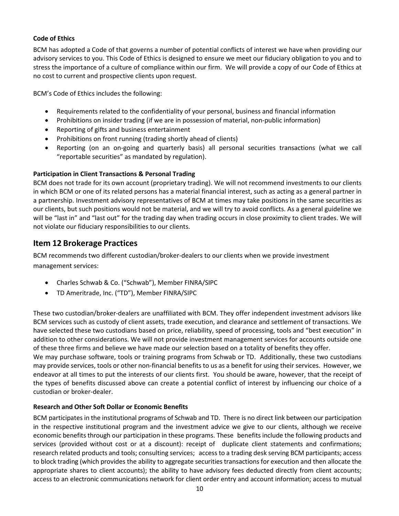### **Code of Ethics**

BCM has adopted a Code of that governs a number of potential conflicts of interest we have when providing our advisory services to you. This Code of Ethics is designed to ensure we meet our fiduciary obligation to you and to stress the importance of a culture of compliance within our firm. We will provide a copy of our Code of Ethics at no cost to current and prospective clients upon request.

BCM's Code of Ethics includes the following:

- Requirements related to the confidentiality of your personal, business and financial information
- Prohibitions on insider trading (if we are in possession of material, non-public information)
- Reporting of gifts and business entertainment
- Prohibitions on front running (trading shortly ahead of clients)
- Reporting (on an on-going and quarterly basis) all personal securities transactions (what we call "reportable securities" as mandated by regulation).

### **Participation in Client Transactions & Personal Trading**

BCM does not trade for its own account (proprietary trading). We will not recommend investments to our clients in which BCM or one of its related persons has a material financial interest, such as acting as a general partner in a partnership. Investment advisory representatives of BCM at times may take positions in the same securities as our clients, but such positions would not be material, and we will try to avoid conflicts. As a general guideline we will be "last in" and "last out" for the trading day when trading occurs in close proximity to client trades. We will not violate our fiduciary responsibilities to our clients.

## <span id="page-9-0"></span>**Item 12 Brokerage Practices**

BCM recommends two different custodian/broker-dealers to our clients when we provide investment management services:

- Charles Schwab & Co. ("Schwab"), Member FINRA/SIPC
- TD Ameritrade, Inc. ("TD"), Member FINRA/SIPC

These two custodian/broker-dealers are unaffiliated with BCM. They offer independent investment advisors like BCM services such as custody of client assets, trade execution, and clearance and settlement of transactions. We have selected these two custodians based on price, reliability, speed of processing, tools and "best execution" in addition to other considerations. We will not provide investment management services for accounts outside one of these three firms and believe we have made our selection based on a totality of benefits they offer.

We may purchase software, tools or training programs from Schwab or TD. Additionally, these two custodians may provide services, tools or other non-financial benefits to us as a benefit for using their services. However, we endeavor at all times to put the interests of our clients first. You should be aware, however, that the receipt of the types of benefits discussed above can create a potential conflict of interest by influencing our choice of a custodian or broker-dealer.

### **Research and Other Soft Dollar or Economic Benefits**

BCM participates in the institutional programs of Schwab and TD. There is no direct link between our participation in the respective institutional program and the investment advice we give to our clients, although we receive economic benefits through our participation in these programs. These benefits include the following products and services (provided without cost or at a discount): receipt of duplicate client statements and confirmations; research related products and tools; consulting services; access to a trading desk serving BCM participants; access to block trading (which provides the ability to aggregate securities transactions for execution and then allocate the appropriate shares to client accounts); the ability to have advisory fees deducted directly from client accounts; access to an electronic communications network for client order entry and account information; access to mutual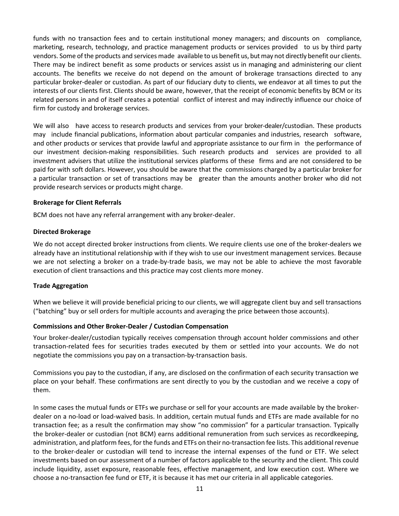funds with no transaction fees and to certain institutional money managers; and discounts on compliance, marketing, research, technology, and practice management products or services provided to us by third party vendors. Some of the products and services made available to us benefit us, but may not directly benefit our clients. There may be indirect benefit as some products or services assist us in managing and administering our client accounts. The benefits we receive do not depend on the amount of brokerage transactions directed to any particular broker-dealer or custodian. As part of our fiduciary duty to clients, we endeavor at all times to put the interests of our clients first. Clients should be aware, however, that the receipt of economic benefits by BCM or its related persons in and of itself creates a potential conflict of interest and may indirectly influence our choice of firm for custody and brokerage services.

We will also have access to research products and services from your broker-dealer/custodian. These products may include financial publications, information about particular companies and industries, research software, and other products or services that provide lawful and appropriate assistance to our firm in the performance of our investment decision-making responsibilities. Such research products and services are provided to all investment advisers that utilize the institutional services platforms of these firms and are not considered to be paid for with soft dollars. However, you should be aware that the commissions charged by a particular broker for a particular transaction or set of transactions may be greater than the amounts another broker who did not provide research services or products might charge.

### **Brokerage for Client Referrals**

BCM does not have any referral arrangement with any broker-dealer.

#### **Directed Brokerage**

We do not accept directed broker instructions from clients. We require clients use one of the broker-dealers we already have an institutional relationship with if they wish to use our investment management services. Because we are not selecting a broker on a trade-by-trade basis, we may not be able to achieve the most favorable execution of client transactions and this practice may cost clients more money.

#### **Trade Aggregation**

When we believe it will provide beneficial pricing to our clients, we will aggregate client buy and sell transactions ("batching" buy or sell orders for multiple accounts and averaging the price between those accounts).

### **Commissions and Other Broker-Dealer / Custodian Compensation**

Your broker-dealer/custodian typically receives compensation through account holder commissions and other transaction-related fees for securities trades executed by them or settled into your accounts. We do not negotiate the commissions you pay on a transaction-by-transaction basis.

Commissions you pay to the custodian, if any, are disclosed on the confirmation of each security transaction we place on your behalf. These confirmations are sent directly to you by the custodian and we receive a copy of them.

In some cases the mutual funds or ETFs we purchase or sell for your accounts are made available by the brokerdealer on a no-load or load-waived basis. In addition, certain mutual funds and ETFs are made available for no transaction fee; as a result the confirmation may show "no commission" for a particular transaction. Typically the broker-dealer or custodian (not BCM) earns additional remuneration from such services as recordkeeping, administration, and platform fees, for the funds and ETFs on their no-transaction fee lists. This additional revenue to the broker-dealer or custodian will tend to increase the internal expenses of the fund or ETF. We select investments based on our assessment of a number of factors applicable to the security and the client. This could include liquidity, asset exposure, reasonable fees, effective management, and low execution cost. Where we choose a no-transaction fee fund or ETF, it is because it has met our criteria in all applicable categories.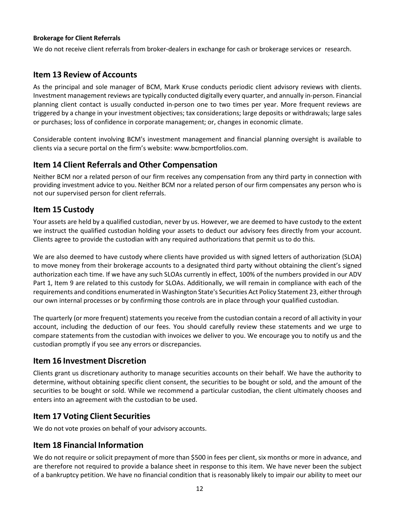### **Brokerage for Client Referrals**

We do not receive client referrals from broker-dealers in exchange for cash or brokerage services or research.

# <span id="page-11-0"></span>**Item 13 Review of Accounts**

As the principal and sole manager of BCM, Mark Kruse conducts periodic client advisory reviews with clients. Investment management reviews are typically conducted digitally every quarter, and annually in-person. Financial planning client contact is usually conducted in-person one to two times per year. More frequent reviews are triggered by a change in your investment objectives; tax considerations; large deposits or withdrawals; large sales or purchases; loss of confidence in corporate management; or, changes in economic climate.

Considerable content involving BCM's investment management and financial planning oversight is available to clients via a secure portal on the firm's website: www.bcmportfolios.com.

## <span id="page-11-1"></span>**Item 14 Client Referrals and Other Compensation**

Neither BCM nor a related person of our firm receives any compensation from any third party in connection with providing investment advice to you. Neither BCM nor a related person of our firm compensates any person who is not our supervised person for client referrals.

## <span id="page-11-2"></span>**Item 15 Custody**

Your assets are held by a qualified custodian, never by us. However, we are deemed to have custody to the extent we instruct the qualified custodian holding your assets to deduct our advisory fees directly from your account. Clients agree to provide the custodian with any required authorizations that permit us to do this.

We are also deemed to have custody where clients have provided us with signed letters of authorization (SLOA) to move money from their brokerage accounts to a designated third party without obtaining the client's signed authorization each time. If we have any such SLOAs currently in effect, 100% of the numbers provided in our ADV Part 1, Item 9 are related to this custody for SLOAs. Additionally, we will remain in compliance with each of the requirements and conditions enumerated in Washington State's Securities Act Policy Statement 23, either through our own internal processes or by confirming those controls are in place through your qualified custodian.

The quarterly (or more frequent) statements you receive from the custodian contain a record of all activity in your account, including the deduction of our fees. You should carefully review these statements and we urge to compare statements from the custodian with invoices we deliver to you. We encourage you to notify us and the custodian promptly if you see any errors or discrepancies.

## <span id="page-11-3"></span>**Item 16 Investment Discretion**

Clients grant us discretionary authority to manage securities accounts on their behalf. We have the authority to determine, without obtaining specific client consent, the securities to be bought or sold, and the amount of the securities to be bought or sold. While we recommend a particular custodian, the client ultimately chooses and enters into an agreement with the custodian to be used.

## <span id="page-11-4"></span>**Item 17 Voting Client Securities**

We do not vote proxies on behalf of your advisory accounts.

# <span id="page-11-5"></span>**Item 18 Financial Information**

We do not require or solicit prepayment of more than \$500 in fees per client, six months or more in advance, and are therefore not required to provide a balance sheet in response to this item. We have never been the subject of a bankruptcy petition. We have no financial condition that is reasonably likely to impair our ability to meet our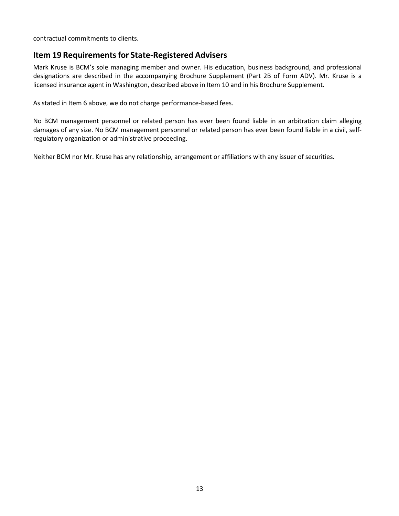contractual commitments to clients.

## <span id="page-12-0"></span>**Item 19 Requirements for State-Registered Advisers**

Mark Kruse is BCM's sole managing member and owner. His education, business background, and professional designations are described in the accompanying Brochure Supplement (Part 2B of Form ADV). Mr. Kruse is a licensed insurance agent in Washington, described above in Item 10 and in his Brochure Supplement.

As stated in Item 6 above, we do not charge performance-based fees.

No BCM management personnel or related person has ever been found liable in an arbitration claim alleging damages of any size. No BCM management personnel or related person has ever been found liable in a civil, selfregulatory organization or administrative proceeding.

Neither BCM nor Mr. Kruse has any relationship, arrangement or affiliations with any issuer of securities.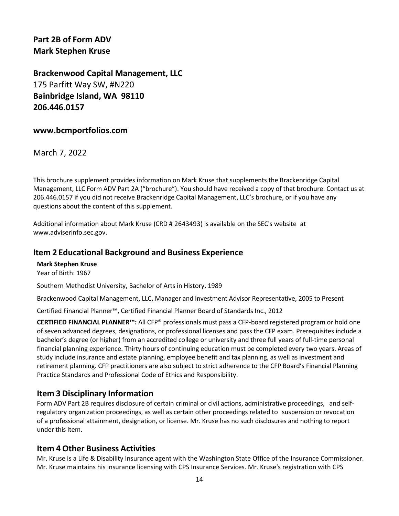<span id="page-13-1"></span><span id="page-13-0"></span>**Part 2B of Form ADV Mark Stephen Kruse** 

**Brackenwood Capital Management, LLC** 175 Parfitt Way SW, #N220 **Bainbridge Island, WA 98110 206.446.0157** 

### **www.bcmportfolios.com**

March 7, 2022

This brochure supplement provides information on Mark Kruse that supplements the Brackenridge Capital Management, LLC Form ADV Part 2A ("brochure"). You should have received a copy of that brochure. Contact us at 206.446.0157 if you did not receive Brackenridge Capital Management, LLC's brochure, or if you have any questions about the content of this supplement.

Additional information about Mark Kruse (CRD # 2643493) is available on the SEC's website at [www.adviserinfo.sec.gov.](http://www.adviserinfo.sec.gov/)

### **Item 2 Educational Background and Business Experience**

**Mark Stephen Kruse** Year of Birth: 1967

Southern Methodist University, Bachelor of Arts in History, 1989

Brackenwood Capital Management, LLC, Manager and Investment Advisor Representative, 2005 to Present

Certified Financial Planner™, Certified Financial Planner Board of Standards Inc., 2012

**CERTIFIED FINANCIAL PLANNER™:** All CFP® professionals must pass a CFP-board registered program or hold one of seven advanced degrees, designations, or professional licenses and pass the CFP exam. Prerequisites include a bachelor's degree (or higher) from an accredited college or university and three full years of full-time personal financial planning experience. Thirty hours of continuing education must be completed every two years. Areas of study include insurance and estate planning, employee benefit and tax planning, as well as investment and retirement planning. CFP practitioners are also subject to strict adherence to the CFP Board's Financial Planning Practice Standards and Professional Code of Ethics and Responsibility.

### **Item 3 Disciplinary Information**

Form ADV Part 2B requires disclosure of certain criminal or civil actions, administrative proceedings, and selfregulatory organization proceedings, as well as certain other proceedings related to suspension or revocation of a professional attainment, designation, or license. Mr. Kruse has no such disclosures and nothing to report under this Item.

### **Item 4 Other Business Activities**

Mr. Kruse is a Life & Disability Insurance agent with the Washington State Office of the Insurance Commissioner. Mr. Kruse maintains his insurance licensing with CPS Insurance Services. Mr. Kruse's registration with CPS